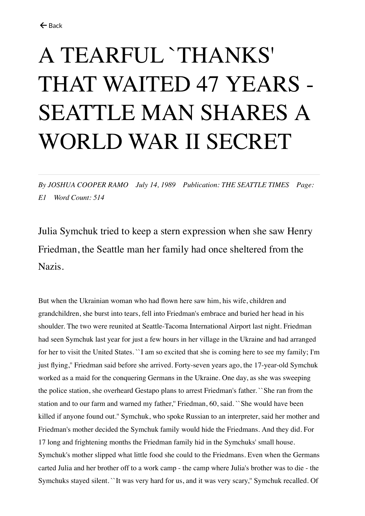## A TEARFUL `THANKS' THAT WAITED 47 YEARS - SEATTLE MAN SHARES A WORLD WAR II SECRET

*By JOSHUA COOPER RAMO July 14, 1989 Publication: THE SEATTLE TIMES Page: E1 Word Count: 514*

Julia Symchuk tried to keep a stern expression when she saw Henry Friedman, the Seattle man her family had once sheltered from the Nazis.

But when the Ukrainian woman who had flown here saw him, his wife, children and grandchildren, she burst into tears, fell into Friedman's embrace and buried her head in his shoulder. The two were reunited at Seattle-Tacoma International Airport last night. Friedman had seen Symchuk last year for just a few hours in her village in the Ukraine and had arranged for her to visit the United States. ``I am so excited that she is coming here to see my family; I'm just flying,'' Friedman said before she arrived. Forty-seven years ago, the 17-year-old Symchuk worked as a maid for the conquering Germans in the Ukraine. One day, as she was sweeping the police station, she overheard Gestapo plans to arrest Friedman's father. ``She ran from the station and to our farm and warned my father,'' Friedman, 60, said. ``She would have been killed if anyone found out.'' Symchuk, who spoke Russian to an interpreter, said her mother and Friedman's mother decided the Symchuk family would hide the Friedmans. And they did. For 17 long and frightening months the Friedman family hid in the Symchuks' small house. Symchuk's mother slipped what little food she could to the Friedmans. Even when the Germans carted Julia and her brother off to a work camp - the camp where Julia's brother was to die - the Symchuks stayed silent. ``It was very hard for us, and it was very scary,'' Symchuk recalled. Of